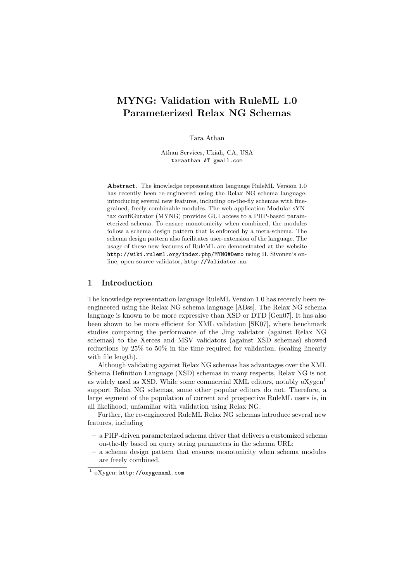# MYNG: Validation with RuleML 1.0 Parameterized Relax NG Schemas

Tara Athan

Athan Services, Ukiah, CA, USA taraathan AT gmail.com

Abstract. The knowledge representation language RuleML Version 1.0 has recently been re-engineered using the Relax NG schema language, introducing several new features, including on-the-fly schemas with finegrained, freely-combinable modules. The web application Modular sYNtax confiGurator (MYNG) provides GUI access to a PHP-based parameterized schema. To ensure monotonicity when combined, the modules follow a schema design pattern that is enforced by a meta-schema. The schema design pattern also facilitates user-extension of the language. The usage of these new features of RuleML are demonstrated at the website http://wiki.ruleml.org/index.php/MYNG#Demo using H. Sivonen's online, open source validator, http://Validator.nu.

## 1 Introduction

The knowledge representation language RuleML Version 1.0 has recently been reengineered using the Relax NG schema language [ABss]. The Relax NG schema language is known to be more expressive than XSD or DTD [Gen07]. It has also been shown to be more efficient for XML validation [SK07], where benchmark studies comparing the performance of the Jing validator (against Relax NG schemas) to the Xerces and MSV validators (against XSD schemas) showed reductions by 25% to 50% in the time required for validation, (scaling linearly with file length).

Although validating against Relax NG schemas has advantages over the XML Schema Definition Language (XSD) schemas in many respects, Relax NG is not as widely used as XSD. While some commercial XML editors, notably oXygen<sup>1</sup> support Relax NG schemas, some other popular editors do not. Therefore, a large segment of the population of current and prospective RuleML users is, in all likelihood, unfamiliar with validation using Relax NG.

Further, the re-engineered RuleML Relax NG schemas introduce several new features, including

- a PHP-driven parameterized schema driver that delivers a customized schema on-the-fly based on query string parameters in the schema URL;
- a schema design pattern that ensures monotonicity when schema modules are freely combined.

<sup>1</sup> oXygen: http://oxygenxml.com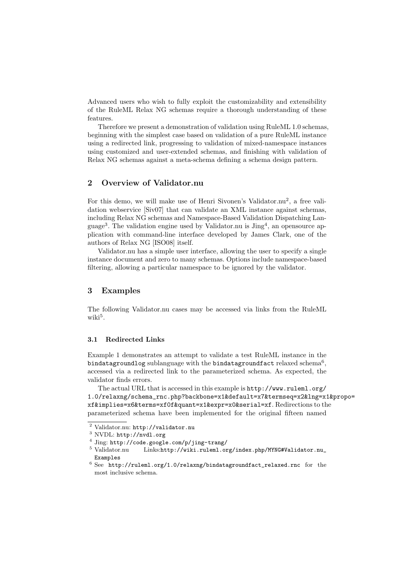Advanced users who wish to fully exploit the customizability and extensibility of the RuleML Relax NG schemas require a thorough understanding of these features.

Therefore we present a demonstration of validation using RuleML 1.0 schemas, beginning with the simplest case based on validation of a pure RuleML instance using a redirected link, progressing to validation of mixed-namespace instances using customized and user-extended schemas, and finishing with validation of Relax NG schemas against a meta-schema defining a schema design pattern.

## 2 Overview of Validator.nu

For this demo, we will make use of Henri Sivonen's Validator.nu<sup>2</sup>, a free validation webservice [Siv07] that can validate an XML instance against schemas, including Relax NG schemas and Namespace-Based Validation Dispatching Language<sup>3</sup>. The validation engine used by Validator.nu is  $\text{Jing}^4$ , an opensource application with command-line interface developed by James Clark, one of the authors of Relax NG [ISO08] itself.

Validator.nu has a simple user interface, allowing the user to specify a single instance document and zero to many schemas. Options include namespace-based filtering, allowing a particular namespace to be ignored by the validator.

# 3 Examples

The following Validator.nu cases may be accessed via links from the RuleML wiki<sup>5</sup>.

#### 3.1 Redirected Links

Example 1 demonstrates an attempt to validate a test RuleML instance in the bindatagroundlog sublanguage with the bindatagroundfact relaxed schema<sup>6</sup>, accessed via a redirected link to the parameterized schema. As expected, the validator finds errors.

The actual URL that is accessed in this example is http://www.ruleml.org/ 1.0/relaxng/schema\_rnc.php?backbone=x1&default=x7&termseq=x2&lng=x1&propo= xf&implies=x6&terms=xf0f&quant=x1&expr=x0&serial=xf. Redirections to the parameterized schema have been implemented for the original fifteen named

<sup>2</sup> Validator.nu: http://validator.nu

<sup>3</sup> NVDL: http://nvdl.org

<sup>&</sup>lt;sup>4</sup> Jing: http://code.google.com/p/jing-trang/<br><sup>5</sup> Validator.nu Links:http://wiki.ruleml.or

 $Links:http://withi.ruleml.org/index.php/MYNG#Validator.nu_$ Examples

<sup>6</sup> See http://ruleml.org/1.0/relaxng/bindatagroundfact\_relaxed.rnc for the most inclusive schema.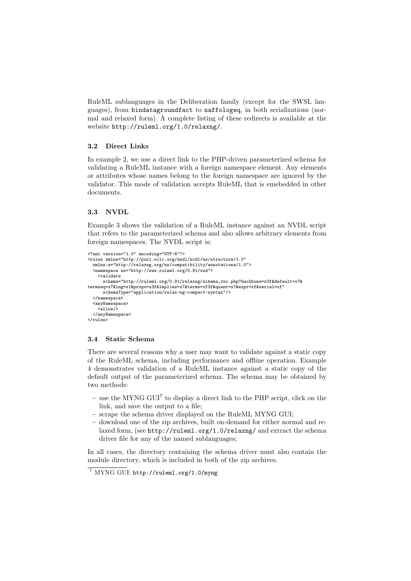RuleML sublanguages in the Deliberation family (except for the SWSL languages), from bindatagroundfact to naffologeq, in both serializations (normal and relaxed form). A complete listing of these redirects is available at the website http://ruleml.org/1.0/relaxng/.

#### 3.2 Direct Links

In example 2, we use a direct link to the PHP-driven parameterized schema for validating a RuleML instance with a foreign namespace element. Any elements or attributes whose names belong to the foreign namespace are ignored by the validator. This mode of validation accepts RuleML that is emebedded in other documents.

## 3.3 NVDL

Example 3 shows the validation of a RuleML instance against an NVDL script that refers to the parameterized schema and also allows arbitrary elements from foreign namespaces. The NVDL script is:

```
<?xml version="1.0" encoding="UTF-8"?>
<rules xmlns="http://purl.oclc.org/dsdl/nvdl/ns/structure/1.0"
 xmlns:a="http://relaxng.org/ns/compatibility/annotations/1.0">
  <namespace ns="http://www.ruleml.org/0.91/xsd">
    <validate
     schema="http://ruleml.org/0.91/relaxng/schema_rnc.php?backbone=x3f&default=x7&
termseq=x7&lng=x1&propo=x3f&implies=x7&terms=xf3f&quant=x7&expr=xf&serial=xf"
     schemaType="application/relax-ng-compact-syntax"/>
  </namespace>
  <anyNamespace>
    \langleallow/\rangle</anyNamespace>
</rules>
```
#### 3.4 Static Schema

There are several reasons why a user may want to validate against a static copy of the RuleML schema, including performance and offline operation. Example 4 demonstrates validation of a RuleML instance against a static copy of the default output of the parameterized schema. The schema may be obtained by two methods:

- use the MYNG GUI<sup>7</sup> to display a direct link to the PHP script, click on the link, and save the output to a file;
- scrape the schema driver displayed on the RuleML MYNG GUI;
- download one of the zip archives, built on-demand for either normal and relaxed form, (see http://ruleml.org/1.0/relaxng/ and extract the schema driver file for any of the named sublanguages;

In all cases, the directory containing the schema driver must also contain the module directory, which is included in both of the zip archives.

<sup>7</sup> MYNG GUI: http://ruleml.org/1.0/myng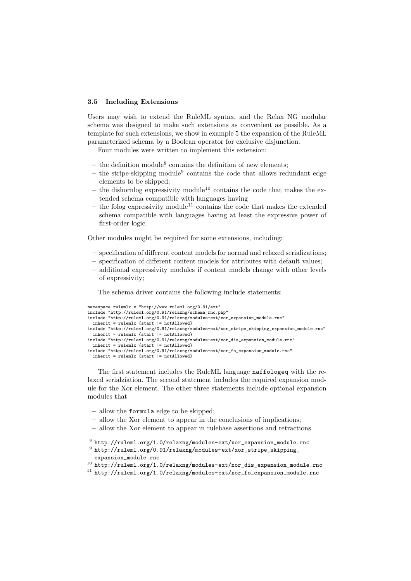#### 3.5 Including Extensions

Users may wish to extend the RuleML syntax, and the Relax NG modular schema was designed to make such extensions as convenient as possible. As a template for such extensions, we show in example 5 the expansion of the RuleML parameterized schema by a Boolean operator for exclusive disjunction.

Four modules were written to implement this extension:

- the definition module<sup>8</sup> contains the definition of new elements;
- $-$  the stripe-skipping module<sup>9</sup> contains the code that allows redundant edge elements to be skipped;
- the dishornlog expressivity module<sup>10</sup> contains the code that makes the extended schema compatible with languages having
- the folog expressivity module<sup>11</sup> contains the code that makes the extended schema compatible with languages having at least the expressive power of first-order logic.

Other modules might be required for some extensions, including:

- specification of different content models for normal and relaxed serializations;
- $-$  specification of different content models for attributes with default values;
- additional expressivity modules if content models change with other levels of expressivity;

The schema driver contains the following include statements:

```
namespace rulemlx = "http://www.ruleml.org/0.91/ext"
include "http://ruleml.org/0.91/relaxng/schema_rnc.php"
include "http://ruleml.org/0.91/relaxng/modules-ext/xor_expansion_module.rnc"
  inherit = rulemlx {start |= notAllowed}
include "http://ruleml.org/0.91/relaxng/modules-ext/xor_stripe_skipping_expansion_module.rnc"
  inherit = rulemlx {start |= notAllowed}
include "http://ruleml.org/0.91/relaxng/modules-ext/xor_dis_expansion_module.rnc"
inherit = rulemlx {start |= notAllowed}
include "http://ruleml.org/0.91/relaxng/modules-ext/xor_fo_expansion_module.rnc"
  inherit = rulemlx {start |= notAllowed}
```
The first statement includes the RuleML language naffologeq with the relaxed serialziation. The second statement includes the required expansion module for the Xor element. The other three statements include optional expansion modules that

- allow the formula edge to be skipped;
- allow the Xor element to appear in the conclusions of implications;
- allow the Xor element to appear in rulebase assertions and retractions.

 $^8$ http://ruleml.org/1.0/relaxng/modules-ext/xor\_expansion\_module.rnc

 $^9$ http://ruleml.org/0.91/relaxng/modules-ext/xor\_stripe\_skipping\_ expansion\_module.rnc

<sup>10</sup> http://ruleml.org/1.0/relaxng/modules-ext/xor\_dis\_expansion\_module.rnc

<sup>11</sup> http://ruleml.org/1.0/relaxng/modules-ext/xor\_fo\_expansion\_module.rnc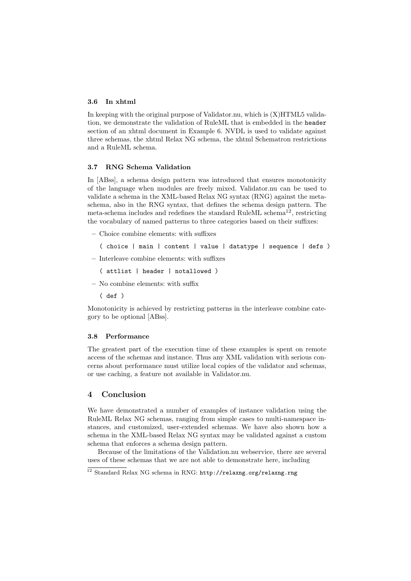### 3.6 In xhtml

In keeping with the original purpose of Validator.nu, which is  $(X)$ HTML5 validation, we demonstrate the validation of RuleML that is embedded in the header section of an xhtml document in Example 6. NVDL is used to validate against three schemas, the xhtml Relax NG schema, the xhtml Schematron restrictions and a RuleML schema.

## 3.7 RNG Schema Validation

In [ABss], a schema design pattern was introduced that ensures monotonicity of the language when modules are freely mixed. Validator.nu can be used to validate a schema in the XML-based Relax NG syntax (RNG) against the metaschema, also in the RNG syntax, that defines the schema design pattern. The meta-schema includes and redefines the standard RuleML schema<sup>12</sup>, restricting the vocabulary of named patterns to three categories based on their suffixes:

- $-$  Choice combine elements: with suffixes
	- ( choice | main | content | value | datatype | sequence | defs )
- $-$  Interleave combine elements: with suffixes
	- ( attlist | header | notallowed )
- $-$  No combine elements: with suffix
	- ( def )

Monotonicity is achieved by restricting patterns in the interleave combine category to be optional [ABss].

#### 3.8 Performance

The greatest part of the execution time of these examples is spent on remote access of the schemas and instance. Thus any XML validation with serious concerns about performance must utilize local copies of the validator and schemas, or use caching, a feature not available in Validator.nu.

#### 4 Conclusion

We have demonstrated a number of examples of instance validation using the RuleML Relax NG schemas, ranging from simple cases to multi-namespace instances, and customized, user-extended schemas. We have also shown how a schema in the XML-based Relax NG syntax may be validated against a custom schema that enforces a schema design pattern.

Because of the limitations of the Validation.nu webservice, there are several uses of these schemas that we are not able to demonstrate here, including

<sup>&</sup>lt;sup>12</sup> Standard Relax NG schema in RNG: http://relaxng.org/relaxng.rng